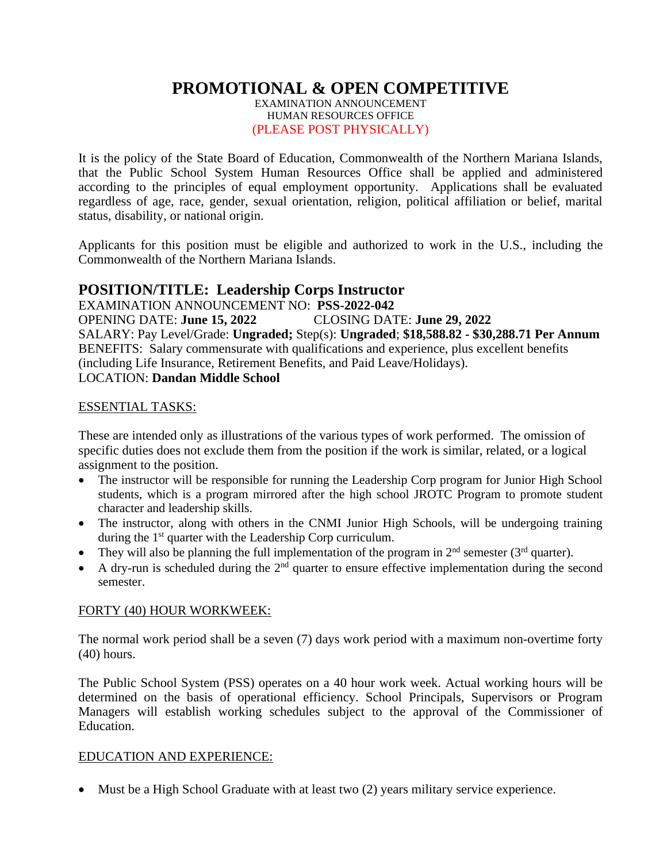# **PROMOTIONAL & OPEN COMPETITIVE**

EXAMINATION ANNOUNCEMENT HUMAN RESOURCES OFFICE (PLEASE POST PHYSICALLY)

It is the policy of the State Board of Education, Commonwealth of the Northern Mariana Islands, that the Public School System Human Resources Office shall be applied and administered according to the principles of equal employment opportunity. Applications shall be evaluated regardless of age, race, gender, sexual orientation, religion, political affiliation or belief, marital status, disability, or national origin.

Applicants for this position must be eligible and authorized to work in the U.S., including the Commonwealth of the Northern Mariana Islands.

## **POSITION/TITLE: Leadership Corps Instructor**

EXAMINATION ANNOUNCEMENT NO: **PSS-2022-042** OPENING DATE: **June 15, 2022** CLOSING DATE: **June 29, 2022** SALARY: Pay Level/Grade: **Ungraded;** Step(s): **Ungraded**; **\$18,588.82 - \$30,288.71 Per Annum** BENEFITS: Salary commensurate with qualifications and experience, plus excellent benefits (including Life Insurance, Retirement Benefits, and Paid Leave/Holidays). LOCATION: **Dandan Middle School**

#### ESSENTIAL TASKS:

These are intended only as illustrations of the various types of work performed. The omission of specific duties does not exclude them from the position if the work is similar, related, or a logical assignment to the position.

- The instructor will be responsible for running the Leadership Corp program for Junior High School students, which is a program mirrored after the high school JROTC Program to promote student character and leadership skills.
- The instructor, along with others in the CNMI Junior High Schools, will be undergoing training during the 1<sup>st</sup> quarter with the Leadership Corp curriculum.
- They will also be planning the full implementation of the program in  $2<sup>nd</sup>$  semester (3<sup>rd</sup> quarter).
- A dry-run is scheduled during the  $2<sup>nd</sup>$  quarter to ensure effective implementation during the second semester.

#### FORTY (40) HOUR WORKWEEK:

The normal work period shall be a seven (7) days work period with a maximum non-overtime forty (40) hours.

The Public School System (PSS) operates on a 40 hour work week. Actual working hours will be determined on the basis of operational efficiency. School Principals, Supervisors or Program Managers will establish working schedules subject to the approval of the Commissioner of Education.

#### EDUCATION AND EXPERIENCE:

• Must be a High School Graduate with at least two (2) years military service experience.